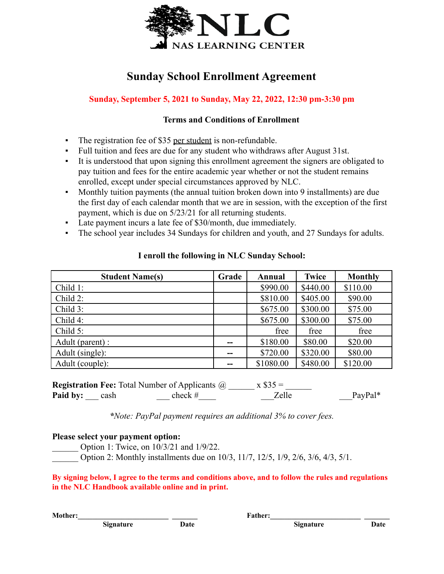

## **Sunday School Enrollment Agreement**

## **Sunday, September 5, 2021 to Sunday, May 22, 2022, 12:30 pm-3:30 pm**

### **Terms and Conditions of Enrollment**

- The registration fee of \$35 per student is non-refundable.
- Full tuition and fees are due for any student who withdraws after August 31st.
- It is understood that upon signing this enrollment agreement the signers are obligated to pay tuition and fees for the entire academic year whether or not the student remains enrolled, except under special circumstances approved by NLC.
- Monthly tuition payments (the annual tuition broken down into 9 installments) are due the first day of each calendar month that we are in session, with the exception of the first payment, which is due on 5/23/21 for all returning students.
- Late payment incurs a late fee of \$30/month, due immediately.
- The school year includes 34 Sundays for children and youth, and 27 Sundays for adults.

| <b>Student Name(s)</b> | Grade | Annual    | <b>Twice</b> | <b>Monthly</b> |
|------------------------|-------|-----------|--------------|----------------|
| Child 1:               |       | \$990.00  | \$440.00     | \$110.00       |
| Child 2:               |       | \$810.00  | \$405.00     | \$90.00        |
| Child 3:               |       | \$675.00  | \$300.00     | \$75.00        |
| Child 4:               |       | \$675.00  | \$300.00     | \$75.00        |
| Child 5:               |       | free      | free         | free           |
| Adult (parent) :       |       | \$180.00  | \$80.00      | \$20.00        |
| Adult (single):        | --    | \$720.00  | \$320.00     | \$80.00        |
| Adult (couple):        |       | \$1080.00 | \$480.00     | \$120.00       |

### **I enroll the following in NLC Sunday School:**

|                      | <b>Registration Fee:</b> Total Number of Applicants @ | $x $35 =$ |         |
|----------------------|-------------------------------------------------------|-----------|---------|
| <b>Paid by:</b> cash | check #                                               | Zelle     | PayPal* |

*\*Note: PayPal payment requires an additional 3% to cover fees.*

### **Please select your payment option:**

\_\_\_\_\_\_ Option 1: Twice, on 10/3/21 and 1/9/22.

Option 2: Monthly installments due on 10/3, 11/7, 12/5, 1/9, 2/6, 3/6, 4/3, 5/1.

By signing below, I agree to the terms and conditions above, and to follow the rules and regulations **in the NLC Handbook available online and in print.**

**Mother: with a set of the set of the set of the set of the set of the set of the set of the set of the set of the set of the set of the set of the set of the set of the set of the set of the set of the set of the set of**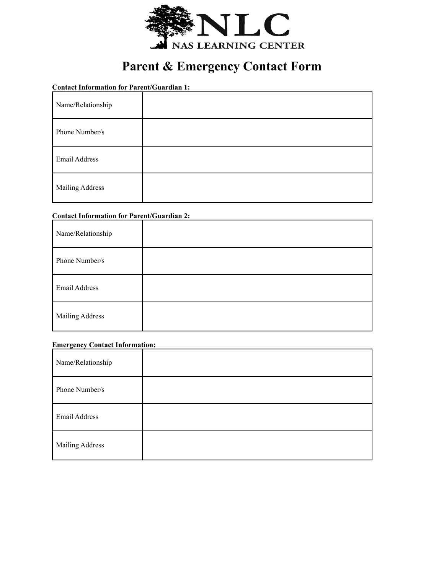

# **Parent & Emergency Contact Form**

**Contact Information for Parent/Guardian 1:**

| Name/Relationship      |  |
|------------------------|--|
| Phone Number/s         |  |
| Email Address          |  |
| <b>Mailing Address</b> |  |

#### **Contact Information for Parent/Guardian 2:**

| Name/Relationship      |  |
|------------------------|--|
| Phone Number/s         |  |
| Email Address          |  |
| <b>Mailing Address</b> |  |

#### **Emergency Contact Information:**

| Name/Relationship      |  |
|------------------------|--|
| Phone Number/s         |  |
| Email Address          |  |
| <b>Mailing Address</b> |  |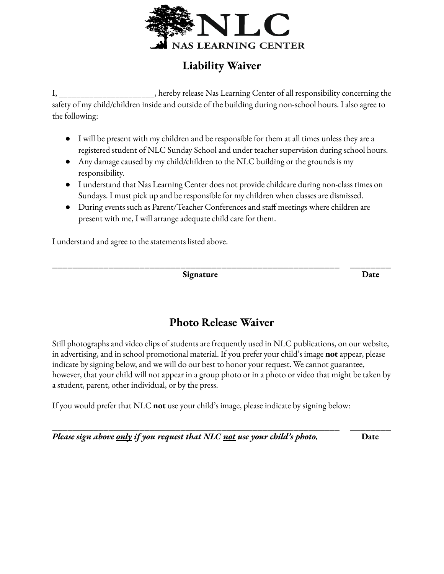

# **Liability Waiver**

I, \_\_\_\_\_\_\_\_\_\_\_\_\_\_\_\_\_\_\_\_\_\_, hereby release Nas Learning Center of all responsibility concerning the safety of my child/children inside and outside of the building during non-school hours. I also agree to the following:

- I will be present with my children and be responsible for them at all times unless they are a registered student of NLC Sunday School and under teacher supervision during school hours.
- Any damage caused by my child/children to the NLC building or the grounds is my responsibility.
- I understand that Nas Learning Center does not provide childcare during non-class times on Sundays. I must pick up and be responsible for my children when classes are dismissed.
- During events such as Parent/Teacher Conferences and staff meetings where children are present with me, I will arrange adequate child care for them.

I understand and agree to the statements listed above.

**Signature Date**

# **Photo Release Waiver**

**\_\_\_\_\_\_\_\_\_\_\_\_\_\_\_\_\_\_\_\_\_\_\_\_\_\_\_\_\_\_\_\_\_\_\_\_\_\_\_\_\_\_\_\_\_\_\_\_\_\_\_\_\_\_\_\_ \_\_\_\_\_\_\_\_**

Still photographs and video clips of students are frequently used in NLC publications, on our website, in advertising, and in school promotional material. If you prefer your child's image **not** appear, please indicate by signing below, and we will do our best to honor your request. We cannot guarantee, however, that your child will not appear in a group photo or in a photo or video that might be taken by a student, parent, other individual, or by the press.

**\_\_\_\_\_\_\_\_\_\_\_\_\_\_\_\_\_\_\_\_\_\_\_\_\_\_\_\_\_\_\_\_\_\_\_\_\_\_\_\_\_\_\_\_\_\_\_\_\_\_\_\_\_\_\_\_ \_\_\_\_\_\_\_\_**

If you would prefer that NLC **not** use your child's image, please indicate by signing below:

*Please sign above only if you request that NLC not use your child's photo.* **Date**